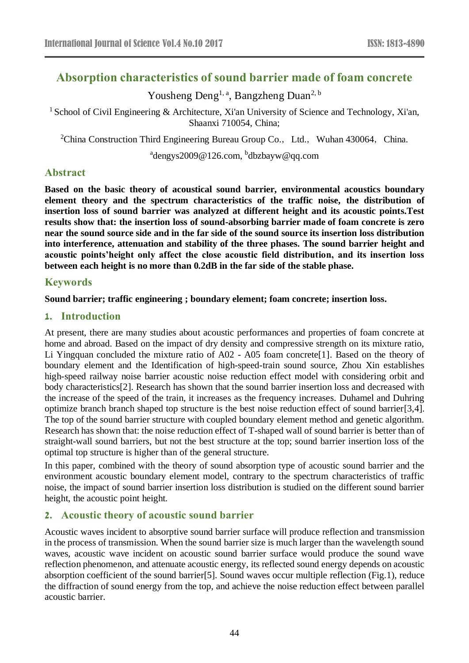# **Absorption characteristics of sound barrier made of foam concrete**

Yousheng Deng<sup>1, a</sup>, Bangzheng Duan<sup>2, b</sup>

<sup>1</sup> School of Civil Engineering & Architecture, Xi'an University of Science and Technology, Xi'an, Shaanxi 710054, China;

<sup>2</sup>China Construction Third Engineering Bureau Group Co., Ltd., Wuhan 430064, China.

<sup>a</sup>dengys2009@126.com, <sup>b</sup>dbzbayw@qq.com

## **Abstract**

**Based on the basic theory of acoustical sound barrier, environmental acoustics boundary element theory and the spectrum characteristics of the traffic noise, the distribution of insertion loss of sound barrier was analyzed at different height and its acoustic points.Test results show that: the insertion loss of sound-absorbing barrier made of foam concrete is zero near the sound source side and in the far side of the sound source its insertion loss distribution into interference, attenuation and stability of the three phases. The sound barrier height and acoustic points'height only affect the close acoustic field distribution, and its insertion loss between each height is no more than 0.2dB in the far side of the stable phase.**

## **Keywords**

### **Sound barrier; traffic engineering ; boundary element; foam concrete; insertion loss.**

## **1. Introduction**

At present, there are many studies about acoustic performances and properties of foam concrete at home and abroad. Based on the impact of dry density and compressive strength on its mixture ratio, Li Yingquan concluded the mixture ratio of A02 - A05 foam concrete[1]. Based on the theory of boundary element and the Identification of high-speed-train sound source, Zhou Xin establishes high-speed railway noise barrier acoustic noise reduction effect model with considering orbit and body characteristics[2]. Research has shown that the sound barrier insertion loss and decreased with the increase of the speed of the train, it increases as the frequency increases. Duhamel and Duhring optimize branch branch shaped top structure is the best noise reduction effect of sound barrier[3,4]. The top of the sound barrier structure with coupled boundary element method and genetic algorithm. Research has shown that: the noise reduction effect of T-shaped wall of sound barrier is better than of straight-wall sound barriers, but not the best structure at the top; sound barrier insertion loss of the optimal top structure is higher than of the general structure.

In this paper, combined with the theory of sound absorption type of acoustic sound barrier and the environment acoustic boundary element model, contrary to the spectrum characteristics of traffic noise, the impact of sound barrier insertion loss distribution is studied on the different sound barrier height, the acoustic point height.

## **2. Acoustic theory of acoustic sound barrier**

Acoustic waves incident to absorptive sound barrier surface will produce reflection and transmission in the process of transmission. When the sound barrier size is much larger than the wavelength sound waves, acoustic wave incident on acoustic sound barrier surface would produce the sound wave reflection phenomenon, and attenuate acoustic energy, its reflected sound energy depends on acoustic absorption coefficient of the sound barrier[5]. Sound waves occur multiple reflection (Fig.1), reduce the diffraction of sound energy from the top, and achieve the noise reduction effect between parallel acoustic barrier.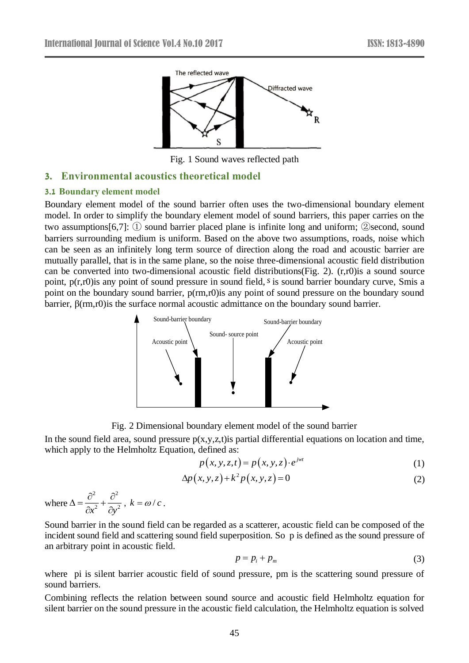

Fig. 1 Sound waves reflected path

## **3. Environmental acoustics theoretical model**

### **3.1 Boundary element model**

Boundary element model of the sound barrier often uses the two-dimensional boundary element model. In order to simplify the boundary element model of sound barriers, this paper carries on the two assumptions[6,7]: ① sound barrier placed plane is infinite long and uniform; ②second, sound barriers surrounding medium is uniform. Based on the above two assumptions, roads, noise which can be seen as an infinitely long term source of direction along the road and acoustic barrier are mutually parallel, that is in the same plane, so the noise three-dimensional acoustic field distribution can be converted into two-dimensional acoustic field distributions(Fig. 2). (r,r0)is a sound source point, p(r,r0)is any point of sound pressure in sound field, *s* is sound barrier boundary curve, Smis a point on the boundary sound barrier, p(rm,r0)is any point of sound pressure on the boundary sound barrier, β(rm,r0)is the surface normal acoustic admittance on the boundary sound barrier.



Fig. 2 Dimensional boundary element model of the sound barrier

In the sound field area, sound pressure  $p(x,y,z,t)$  is partial differential equations on location and time, which apply to the Helmholtz Equation, defined as:

$$
p(x, y, z, t) = p(x, y, z) \cdot e^{jwt}
$$
\n<sup>(1)</sup>

$$
\Delta p(x, y, z) + k^2 p(x, y, z) = 0 \tag{2}
$$

where 2  $\sim$  2  $\partial x^2$   $\partial y^2$  $\Delta = \frac{\partial^2}{\partial x^2} + \frac{\partial^2}{\partial y^2}$  $\frac{\partial}{\partial x^2} + \frac{\partial}{\partial y^2}$ ,  $k = \omega/c$ .

Sound barrier in the sound field can be regarded as a scatterer, acoustic field can be composed of the incident sound field and scattering sound field superposition. So p is defined as the sound pressure of an arbitrary point in acoustic field.

$$
p = p_i + p_m \tag{3}
$$

where pi is silent barrier acoustic field of sound pressure, pm is the scattering sound pressure of sound barriers.

Combining reflects the relation between sound source and acoustic field Helmholtz equation for silent barrier on the sound pressure in the acoustic field calculation, the Helmholtz equation is solved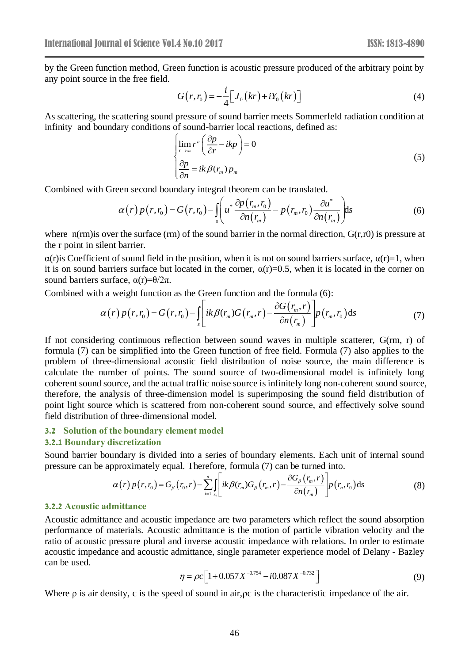by the Green function method, Green function is acoustic pressure produced of the arbitrary point by any point source in the free field.

$$
G(r, r_0) = -\frac{i}{4} \Big[ J_0(kr) + iY_0(kr) \Big]
$$
 (4)

As scattering, the scattering sound pressure of sound barrier meets Sommerfeld radiation condition at infinity and boundary conditions of sound-barrier local reactions, defined as:

$$
\lim_{r \to \infty} r^{\varepsilon} \left( \frac{\partial p}{\partial r} - ikp \right) = 0
$$
\n
$$
\frac{\partial p}{\partial n} = ik \beta(r_m) p_m
$$
\n(5)

Combined with Green second boundary integral theorem can be translated.

$$
\alpha(r) p(r, r_0) = G(r, r_0) - \iint_s \left( u^* \frac{\partial p(r_m, r_0)}{\partial n(r_m)} - p(r_m, r_0) \frac{\partial u^*}{\partial n(r_m)} \right) ds \tag{6}
$$

where  $n(rm)$  is over the surface (rm) of the sound barrier in the normal direction,  $G(r,r0)$  is pressure at the r point in silent barrier.

 $\alpha(r)$  is Coefficient of sound field in the position, when it is not on sound barriers surface,  $\alpha(r)=1$ , when it is on sound barriers surface but located in the corner,  $\alpha(r)=0.5$ , when it is located in the corner on sound barriers surface,  $α(r)=θ/2π$ .

Combined with a weight function as the Green function and the formula (6):

$$
\alpha(r) p(r, r_0) = G(r, r_0) - \int_s \left[ ik \beta(r_m) G(r_m, r) - \frac{\partial G(r_m, r)}{\partial n(r_m)} \right] p(r_m, r_0) ds \tag{7}
$$

If not considering continuous reflection between sound waves in multiple scatterer, G(rm, r) of formula (7) can be simplified into the Green function of free field. Formula (7) also applies to the problem of three-dimensional acoustic field distribution of noise source, the main difference is calculate the number of points. The sound source of two-dimensional model is infinitely long coherent sound source, and the actual traffic noise source is infinitely long non-coherent sound source, therefore, the analysis of three-dimension model is superimposing the sound field distribution of point light source which is scattered from non-coherent sound source, and effectively solve sound field distribution of three-dimensional model.

#### **3.2 Solution of the boundary element model**

#### **3.2.1 Boundary discretization**

Sound barrier boundary is divided into a series of boundary elements. Each unit of internal sound pressure can be approximately equal. Therefore, formula (7) can be turned into.

$$
\alpha(r) p(r,r_0) = G_\beta(r_0,r) - \sum_{i=1}^n \int_{s_i} \left[ ik \beta(r_m) G_\beta(r_m,r) - \frac{\partial G_\beta(r_m,r)}{\partial n(r_m)} \right] p(r_n,r_0) ds \tag{8}
$$

#### **3.2.2 Acoustic admittance**

Acoustic admittance and acoustic impedance are two parameters which reflect the sound absorption performance of materials. Acoustic admittance is the motion of particle vibration velocity and the ratio of acoustic pressure plural and inverse acoustic impedance with relations. In order to estimate acoustic impedance and acoustic admittance, single parameter experience model of Delany - Bazley can be used.

$$
\eta = \rho c \left[ 1 + 0.057 X^{-0.754} - i 0.087 X^{-0.732} \right]
$$
\n(9)

Where ρ is air density, c is the speed of sound in air,ρc is the characteristic impedance of the air.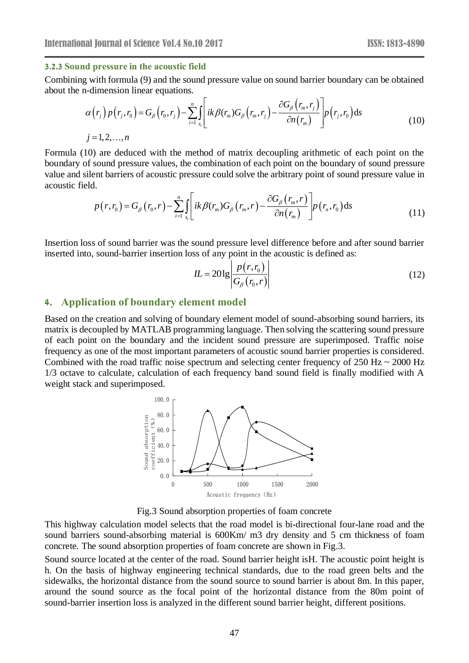### **3.2.3 Sound pressure in the acoustic field**

Combining with formula (9) and the sound pressure value on sound barrier boundary can be obtained about the n-dimension linear equations.

$$
\alpha(r_j)p(r_j,r_0) = G_{\beta}(r_0,r_j) - \sum_{i=1}^n \int_{s_i} ik \beta(r_m)G_{\beta}(r_m,r_j) - \frac{\partial G_{\beta}(r_m,r_j)}{\partial n(r_m)} \left[ p(r_j,r_0)ds \right]
$$
\n
$$
j = 1,2,...,n
$$
\n(10)

Formula (10) are deduced with the method of matrix decoupling arithmetic of each point on the boundary of sound pressure values, the combination of each point on the boundary of sound pressure value and silent barriers of acoustic pressure could solve the arbitrary point of sound pressure value in acoustic field.

$$
p(r,r_0) = G_\beta(r_0,r) - \sum_{i=1}^n \int_{s_i} \left[ ik \beta(r_m) G_\beta(r_m,r) - \frac{\partial G_\beta(r_m,r)}{\partial n(r_m)} \right] p(r_n,r_0) ds \tag{11}
$$

Insertion loss of sound barrier was the sound pressure level difference before and after sound barrier inserted into, sound-barrier insertion loss of any point in the acoustic is defined as:

$$
IL = 20\lg\left|\frac{p(r, r_0)}{G_\beta(r_0, r)}\right|\tag{12}
$$

### **4. Application of boundary element model**

Based on the creation and solving of boundary element model of sound-absorbing sound barriers, its matrix is decoupled by MATLAB programming language. Then solving the scattering sound pressure of each point on the boundary and the incident sound pressure are superimposed. Traffic noise frequency as one of the most important parameters of acoustic sound barrier properties is considered. Combined with the road traffic noise spectrum and selecting center frequency of  $250$  Hz  $\sim 2000$  Hz 1/3 octave to calculate, calculation of each frequency band sound field is finally modified with A weight stack and superimposed.



Fig.3 Sound absorption properties of foam concrete

This highway calculation model selects that the road model is bi-directional four-lane road and the sound barriers sound-absorbing material is 600Km/ m3 dry density and 5 cm thickness of foam concrete. The sound absorption properties of foam concrete are shown in Fig.3.

Sound source located at the center of the road. Sound barrier height isH. The acoustic point height is h. On the basis of highway engineering technical standards, due to the road green belts and the sidewalks, the horizontal distance from the sound source to sound barrier is about 8m. In this paper, around the sound source as the focal point of the horizontal distance from the 80m point of sound-barrier insertion loss is analyzed in the different sound barrier height, different positions.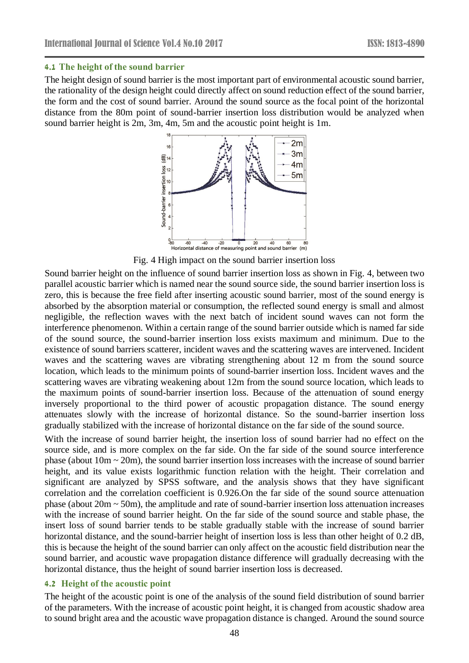### **4.1 The height of the sound barrier**

The height design of sound barrier is the most important part of environmental acoustic sound barrier, the rationality of the design height could directly affect on sound reduction effect of the sound barrier, the form and the cost of sound barrier. Around the sound source as the focal point of the horizontal distance from the 80m point of sound-barrier insertion loss distribution would be analyzed when sound barrier height is 2m, 3m, 4m, 5m and the acoustic point height is 1m.



Fig. 4 High impact on the sound barrier insertion loss

Sound barrier height on the influence of sound barrier insertion loss as shown in Fig. 4, between two parallel acoustic barrier which is named near the sound source side, the sound barrier insertion loss is zero, this is because the free field after inserting acoustic sound barrier, most of the sound energy is absorbed by the absorption material or consumption, the reflected sound energy is small and almost negligible, the reflection waves with the next batch of incident sound waves can not form the interference phenomenon. Within a certain range of the sound barrier outside which is named far side of the sound source, the sound-barrier insertion loss exists maximum and minimum. Due to the existence of sound barriers scatterer, incident waves and the scattering waves are intervened. Incident waves and the scattering waves are vibrating strengthening about 12 m from the sound source location, which leads to the minimum points of sound-barrier insertion loss. Incident waves and the scattering waves are vibrating weakening about 12m from the sound source location, which leads to the maximum points of sound-barrier insertion loss. Because of the attenuation of sound energy inversely proportional to the third power of acoustic propagation distance. The sound energy attenuates slowly with the increase of horizontal distance. So the sound-barrier insertion loss gradually stabilized with the increase of horizontal distance on the far side of the sound source.

With the increase of sound barrier height, the insertion loss of sound barrier had no effect on the source side, and is more complex on the far side. On the far side of the sound source interference phase (about 10m ~ 20m), the sound barrier insertion loss increases with the increase of sound barrier height, and its value exists logarithmic function relation with the height. Their correlation and significant are analyzed by SPSS software, and the analysis shows that they have significant correlation and the correlation coefficient is 0.926.On the far side of the sound source attenuation phase (about  $20m \sim 50m$ ), the amplitude and rate of sound-barrier insertion loss attenuation increases with the increase of sound barrier height. On the far side of the sound source and stable phase, the insert loss of sound barrier tends to be stable gradually stable with the increase of sound barrier horizontal distance, and the sound-barrier height of insertion loss is less than other height of 0.2 dB, this is because the height of the sound barrier can only affect on the acoustic field distribution near the sound barrier, and acoustic wave propagation distance difference will gradually decreasing with the horizontal distance, thus the height of sound barrier insertion loss is decreased.

### **4.2 Height of the acoustic point**

The height of the acoustic point is one of the analysis of the sound field distribution of sound barrier of the parameters. With the increase of acoustic point height, it is changed from acoustic shadow area to sound bright area and the acoustic wave propagation distance is changed. Around the sound source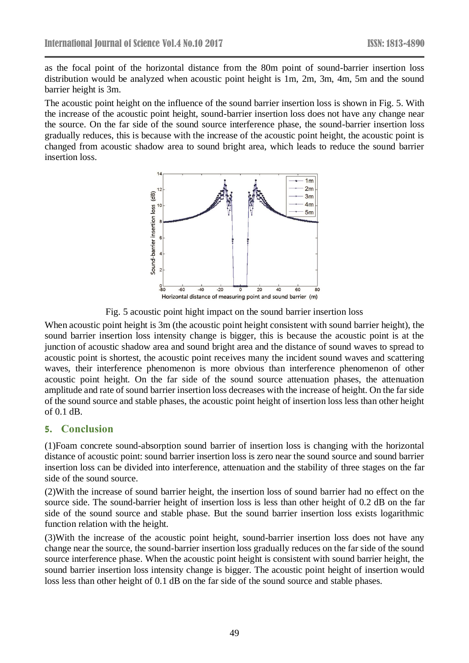as the focal point of the horizontal distance from the 80m point of sound-barrier insertion loss distribution would be analyzed when acoustic point height is 1m, 2m, 3m, 4m, 5m and the sound barrier height is 3m.

The acoustic point height on the influence of the sound barrier insertion loss is shown in Fig. 5. With the increase of the acoustic point height, sound-barrier insertion loss does not have any change near the source. On the far side of the sound source interference phase, the sound-barrier insertion loss gradually reduces, this is because with the increase of the acoustic point height, the acoustic point is changed from acoustic shadow area to sound bright area, which leads to reduce the sound barrier insertion loss.



Fig. 5 acoustic point hight impact on the sound barrier insertion loss

When acoustic point height is 3m (the acoustic point height consistent with sound barrier height), the sound barrier insertion loss intensity change is bigger, this is because the acoustic point is at the junction of acoustic shadow area and sound bright area and the distance of sound waves to spread to acoustic point is shortest, the acoustic point receives many the incident sound waves and scattering waves, their interference phenomenon is more obvious than interference phenomenon of other acoustic point height. On the far side of the sound source attenuation phases, the attenuation amplitude and rate of sound barrier insertion loss decreases with the increase of height. On the far side of the sound source and stable phases, the acoustic point height of insertion loss less than other height of 0.1 dB.

## **5. Conclusion**

(1)Foam concrete sound-absorption sound barrier of insertion loss is changing with the horizontal distance of acoustic point: sound barrier insertion loss is zero near the sound source and sound barrier insertion loss can be divided into interference, attenuation and the stability of three stages on the far side of the sound source.

(2)With the increase of sound barrier height, the insertion loss of sound barrier had no effect on the source side. The sound-barrier height of insertion loss is less than other height of 0.2 dB on the far side of the sound source and stable phase. But the sound barrier insertion loss exists logarithmic function relation with the height.

(3)With the increase of the acoustic point height, sound-barrier insertion loss does not have any change near the source, the sound-barrier insertion loss gradually reduces on the far side of the sound source interference phase. When the acoustic point height is consistent with sound barrier height, the sound barrier insertion loss intensity change is bigger. The acoustic point height of insertion would loss less than other height of 0.1 dB on the far side of the sound source and stable phases.